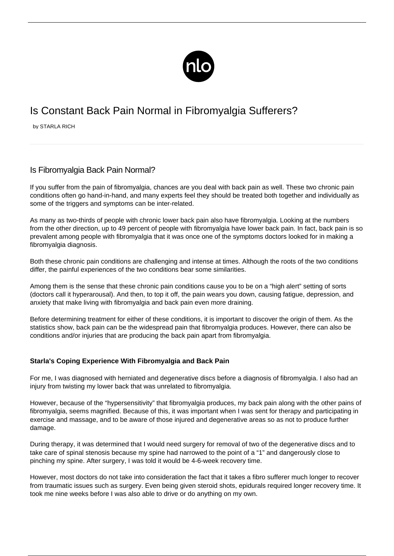

# Is Constant Back Pain Normal in Fibromyalgia Sufferers?

by STARLA RICH

## Is Fibromyalgia Back Pain Normal?

If you suffer from the pain of fibromyalgia, chances are you deal with back pain as well. These two chronic pain conditions often go hand-in-hand, and many experts feel they should be treated both together and individually as some of the triggers and symptoms can be inter-related.

As many as two-thirds of people with chronic lower back pain also have fibromyalgia. Looking at the numbers from the other direction, up to 49 percent of people with fibromyalgia have lower back pain. In fact, back pain is so prevalent among people with fibromyalgia that it was once one of the symptoms doctors looked for in making a fibromyalgia diagnosis.

Both these chronic pain conditions are challenging and intense at times. Although the roots of the two conditions differ, the painful experiences of the two conditions bear some similarities.

Among them is the sense that these chronic pain conditions cause you to be on a "high alert" setting of sorts (doctors call it hyperarousal). And then, to top it off, the pain wears you down, causing fatigue, depression, and anxiety that make [living with fibromyalgia](/great-hobbies-fms/) and back pain even more draining.

Before determining treatment for either of these conditions, it is important to discover the origin of them. As the statistics show, back pain can be the widespread pain that fibromyalgia produces. However, there can also be conditions and/or injuries that are producing the back pain apart from fibromyalgia.

### **Starla's Coping Experience With Fibromyalgia and Back Pain**

For me, I was diagnosed with herniated and degenerative discs before a diagnosis of fibromyalgia. I also had an injury from twisting my lower back that was unrelated to fibromyalgia.

However, because of the "hypersensitivity" that fibromyalgia produces, my back pain along with the other [pains of](/habits-relieve-pain/) [fibromyalgia](/habits-relieve-pain/), seems magnified. Because of this, it was important when I was sent for therapy and participating in exercise and massage, and to be aware of those injured and degenerative areas so as not to produce further damage.

During therapy, it was determined that I would need surgery for removal of two of the degenerative discs and to take care of spinal stenosis because my spine had narrowed to the point of a "1" and dangerously close to pinching my spine. After surgery, I was told it would be 4-6-week recovery time.

However, most doctors do not take into consideration the fact that it takes a fibro sufferer much longer to recover from traumatic issues such as surgery. Even being given steroid shots, epidurals required longer recovery time. It took me nine weeks before I was also able to drive or do anything on my own.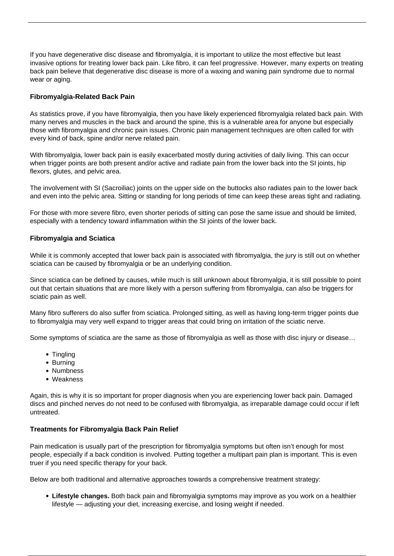If you have degenerative disc disease and fibromyalgia, it is important to utilize the most effective but least invasive options for [treating lower back pain](https://backpain.newlifeoutlook.com/how-to-relieve-lower-back-pain/). Like fibro, it can feel progressive. However, many experts on treating back pain believe that degenerative disc disease is more of a waxing and waning pain syndrome due to normal wear or aging.

#### **Fibromyalgia-Related Back Pain**

As statistics prove, if you have fibromyalgia, then you have likely experienced fibromyalgia related back pain. With many nerves and muscles in the back and around the spine, this is a vulnerable area for anyone but especially those with fibromyalgia and chronic pain issues. [Chronic pain management](https://chronicpain.newlifeoutlook.com/chronic-pain-management/) techniques are often called for with every kind of back, spine and/or nerve related pain.

With fibromyalgia, lower back pain is easily exacerbated mostly during activities of daily living. This can occur when [trigger points](/trigger-points/) are both present and/or active and radiate pain from the lower back into the SI joints, hip flexors, glutes, and pelvic area.

The involvement with SI (Sacroiliac) joints on the upper side on the buttocks also radiates pain to the lower back and even into the pelvic area. Sitting or standing for long periods of time can keep these areas tight and radiating.

For those with more severe fibro, even shorter periods of sitting can pose the same issue and should be limited, especially with a tendency toward inflammation within the SI joints of the lower back.

#### **Fibromyalgia and Sciatica**

While it is commonly accepted that lower back pain is associated with fibromyalgia, the jury is still out on whether sciatica can be caused by fibromyalgia or be an underlying condition.

Since sciatica can be defined by causes, while much is still unknown about fibromyalgia, it is still possible to point out that certain situations that are more likely with a person suffering from fibromyalgia, can also be triggers for sciatic pain as well.

Many fibro sufferers do also suffer from sciatica. Prolonged sitting, as well as having long-term trigger points due to fibromyalgia may very well expand to trigger areas that could bring on irritation of the sciatic nerve.

Some symptoms of sciatica are the same as those of fibromyalgia as well as those with disc injury or disease…

- Tingling
- Burning
- Numbness
- Weakness

Again, this is why it is so important for proper diagnosis when you are experiencing lower back pain. Damaged discs and pinched nerves do not need to be confused with fibromyalgia, as irreparable damage could occur if left untreated.

#### **Treatments for Fibromyalgia Back Pain Relief**

Pain medication is usually part of the prescription for [fibromyalgia symptoms](/symptoms-of-fibromyalgia/) but often isn't enough for most people, especially if a back condition is involved. Putting together a multipart pain plan is important. This is even truer if you need specific therapy for your back.

Below are both traditional and alternative approaches towards a comprehensive treatment strategy:

**Lifestyle changes.** Both back pain and fibromyalgia symptoms may improve as you work on a healthier lifestyle — adjusting your diet, increasing exercise, and losing weight if needed.